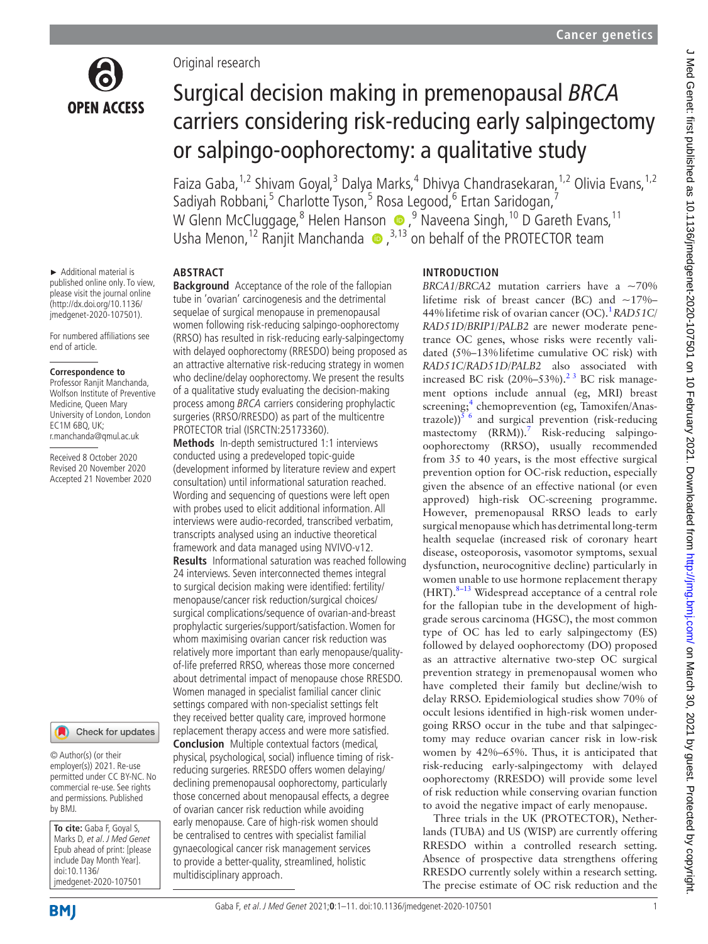

Original research

#### ► Additional material is published online only. To view, please visit the journal online (http://dx.doi.org/10.1136/ jmedgenet-2020-107501).

For numbered affiliations see end of article.

#### **Correspondence to**

Professor Ranjit Manchanda, Wolfson Institute of Preventive Medicine, Queen Mary University of London, London EC1M 6BQ, UK; r.manchanda@qmul.ac.uk

Received 8 October 2020 Revised 20 November 2020 Accepted 21 November 2020



© Author(s) (or their employer(s)) 2021. Re-use permitted under CC BY-NC. No commercial re-use. See rights and permissions. Published by BMJ.

**To cite:** Gaba F, Goyal S, Marks D, et al. J Med Genet Epub ahead of print: [please include Day Month Year]. doi:10.1136/ jmedgenet-2020-107501

# Surgical decision making in premenopausal *BRCA* carriers considering risk-reducing early salpingectomy or salpingo-oophorectomy: a qualitative study

Faiza Gaba, <sup>1,2</sup> Shivam Goyal,<sup>3</sup> Dalya Marks,<sup>4</sup> Dhivya Chandrasekaran, <sup>1,2</sup> Olivia Evans, <sup>1,2</sup> Sadiyah Robbani,<sup>5</sup> Charlotte Tyson,<sup>5</sup> Rosa Legood,<sup>6</sup> Ertan Saridogan,<sup>7</sup> WGlenn McCluggage, $^8$  Helen Hanson  $\;\bullet\;$ , $^9$  Naveena Singh, $^{10}$  D Gareth Evans, $^{11}$ Usha Menon,<sup>12</sup> Ranjit Manchanda  $\bullet$ ,<sup>3,13</sup> on behalf of the PROTECTOR team

# **ABSTRACT**

**Background** Acceptance of the role of the fallopian tube in 'ovarian' carcinogenesis and the detrimental sequelae of surgical menopause in premenopausal women following risk-reducing salpingo-oophorectomy (RRSO) has resulted in risk-reducing early-salpingectomy with delayed oophorectomy (RRESDO) being proposed as an attractive alternative risk-reducing strategy in women who decline/delay oophorectomy. We present the results of a qualitative study evaluating the decision-making process among BRCA carriers considering prophylactic surgeries (RRSO/RRESDO) as part of the multicentre PROTECTOR trial (ISRCTN:25173360).

**Methods** In-depth semistructured 1:1 interviews conducted using a predeveloped topic-guide (development informed by literature review and expert consultation) until informational saturation reached. Wording and sequencing of questions were left open with probes used to elicit additional information. All interviews were audio-recorded, transcribed verbatim, transcripts analysed using an inductive theoretical framework and data managed using NVIVO-v12. **Results** Informational saturation was reached following 24 interviews. Seven interconnected themes integral to surgical decision making were identified: fertility/ menopause/cancer risk reduction/surgical choices/ surgical complications/sequence of ovarian-and-breast prophylactic surgeries/support/satisfaction. Women for whom maximising ovarian cancer risk reduction was relatively more important than early menopause/qualityof-life preferred RRSO, whereas those more concerned about detrimental impact of menopause chose RRESDO. Women managed in specialist familial cancer clinic settings compared with non-specialist settings felt they received better quality care, improved hormone replacement therapy access and were more satisfied.

**Conclusion** Multiple contextual factors (medical, physical, psychological, social) influence timing of riskreducing surgeries. RRESDO offers women delaying/ declining premenopausal oophorectomy, particularly those concerned about menopausal effects, a degree of ovarian cancer risk reduction while avoiding early menopause. Care of high-risk women should be centralised to centres with specialist familial gynaecological cancer risk management services to provide a better-quality, streamlined, holistic multidisciplinary approach.

# **INTRODUCTION**

*BRCA1/BRCA2* mutation carriers have a  $\sim$ 70% lifetime risk of breast cancer (BC) and  $\sim$ 17%– 44% lifetime risk of ovarian cancer (OC).<sup>[1](#page-9-0)</sup>RAD51C/ *RAD51D*/*BRIP1/PALB2* are newer moderate penetrance OC genes, whose risks were recently validated (5%–13%lifetime cumulative OC risk) with *RAD51C/RAD51D/PALB2* also associated with increased BC risk (20%–53%).<sup>2 3</sup> BC risk management options include annual (eg, MRI) breast screening;<sup>[4](#page-9-2)</sup> chemoprevention (eg, Tamoxifen/Anastrazole)) $5/6$  and surgical prevention (risk-reducing mastectomy (RRM)).<sup>7</sup> Risk-reducing salpingooophorectomy (RRSO), usually recommended from 35 to 40 years, is the most effective surgical prevention option for OC-risk reduction, especially given the absence of an effective national (or even approved) high-risk OC-screening programme. However, premenopausal RRSO leads to early surgical menopause which has detrimental long-term health sequelae (increased risk of coronary heart disease, osteoporosis, vasomotor symptoms, sexual dysfunction, neurocognitive decline) particularly in women unable to use hormone replacement therapy  $(HRT).$ <sup>8–13</sup> Widespread acceptance of a central role for the fallopian tube in the development of highgrade serous carcinoma (HGSC), the most common type of OC has led to early salpingectomy (ES) followed by delayed oophorectomy (DO) proposed as an attractive alternative two-step OC surgical prevention strategy in premenopausal women who have completed their family but decline/wish to delay RRSO. Epidemiological studies show 70% of occult lesions identified in high-risk women undergoing RRSO occur in the tube and that salpingectomy may reduce ovarian cancer risk in low-risk women by 42%–65%. Thus, it is anticipated that risk-reducing early-salpingectomy with delayed oophorectomy (RRESDO) will provide some level of risk reduction while conserving ovarian function to avoid the negative impact of early menopause.

Three trials in the UK (PROTECTOR), Netherlands (TUBA) and US (WISP) are currently offering RRESDO within a controlled research setting. Absence of prospective data strengthens offering RRESDO currently solely within a research setting. The precise estimate of OC risk reduction and the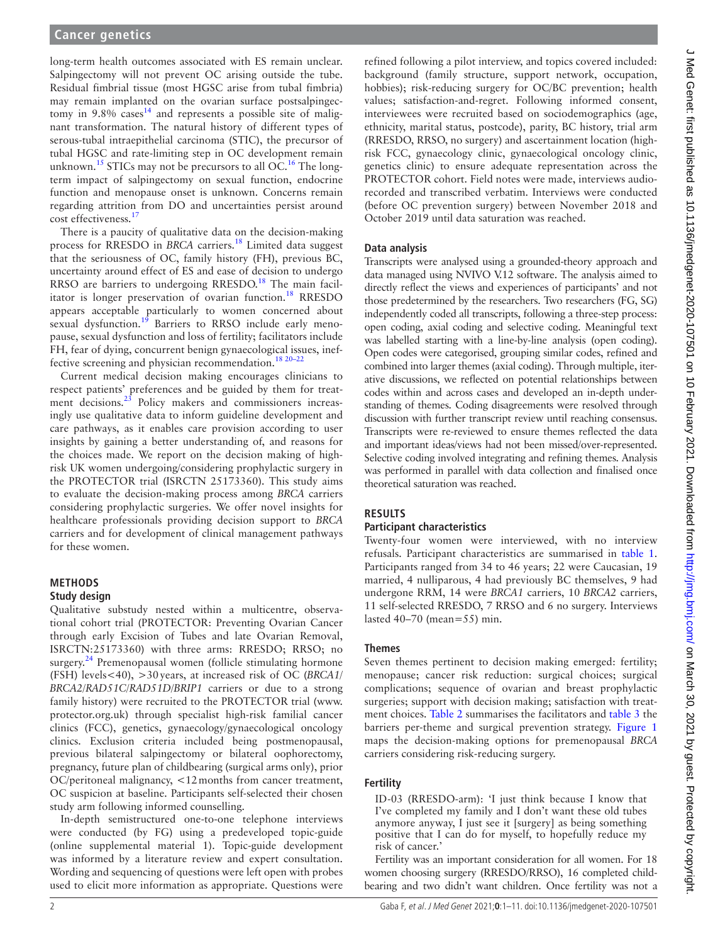long-term health outcomes associated with ES remain unclear. Salpingectomy will not prevent OC arising outside the tube. Residual fimbrial tissue (most HGSC arise from tubal fimbria) may remain implanted on the ovarian surface postsalpingectomy in  $9.8\%$  cases<sup>14</sup> and represents a possible site of malignant transformation. The natural history of different types of serous-tubal intraepithelial carcinoma (STIC), the precursor of tubal HGSC and rate-limiting step in OC development remain unknown.<sup>15</sup> STICs may not be precursors to all OC.<sup>16</sup> The longterm impact of salpingectomy on sexual function, endocrine function and menopause onset is unknown. Concerns remain regarding attrition from DO and uncertainties persist around cost effectiveness.<sup>[17](#page-9-9)</sup>

There is a paucity of qualitative data on the decision-making process for RRESDO in *BRCA* carriers.<sup>[18](#page-9-10)</sup> Limited data suggest that the seriousness of OC, family history (FH), previous BC, uncertainty around effect of ES and ease of decision to undergo RRSO are barriers to undergoing RRESDO.<sup>18</sup> The main facilitator is longer preservation of ovarian function.[18](#page-9-10) RRESDO appears acceptable particularly to women concerned about sexual dysfunction.<sup>[19](#page-9-11)</sup> Barriers to RRSO include early menopause, sexual dysfunction and loss of fertility; facilitators include FH, fear of dying, concurrent benign gynaecological issues, inef-fective screening and physician recommendation.<sup>[18 20–22](#page-9-10)</sup>

Current medical decision making encourages clinicians to respect patients' preferences and be guided by them for treatment decisions.<sup>23</sup> Policy makers and commissioners increasingly use qualitative data to inform guideline development and care pathways, as it enables care provision according to user insights by gaining a better understanding of, and reasons for the choices made. We report on the decision making of highrisk UK women undergoing/considering prophylactic surgery in the PROTECTOR trial (ISRCTN 25173360). This study aims to evaluate the decision-making process among *BRCA* carriers considering prophylactic surgeries. We offer novel insights for healthcare professionals providing decision support to *BRCA* carriers and for development of clinical management pathways for these women.

## **METHODS**

## **Study design**

Qualitative substudy nested within a multicentre, observational cohort trial (PROTECTOR: Preventing Ovarian Cancer through early Excision of Tubes and late Ovarian Removal, ISRCTN:25173360) with three arms: RRESDO; RRSO; no surgery.<sup>[24](#page-10-1)</sup> Premenopausal women (follicle stimulating hormone (FSH) levels<40), >30years, at increased risk of OC (*BRCA1/ BRCA2/RAD51C/RAD51D/BRIP1* carriers or due to a strong family history) were recruited to the PROTECTOR trial ([www.](www.protector.org.uk) [protector.org.uk](www.protector.org.uk)) through specialist high-risk familial cancer clinics (FCC), genetics, gynaecology/gynaecological oncology clinics. Exclusion criteria included being postmenopausal, previous bilateral salpingectomy or bilateral oophorectomy, pregnancy, future plan of childbearing (surgical arms only), prior OC/peritoneal malignancy, <12months from cancer treatment, OC suspicion at baseline. Participants self-selected their chosen study arm following informed counselling.

In-depth semistructured one-to-one telephone interviews were conducted (by FG) using a predeveloped topic-guide ([online supplemental material 1](https://dx.doi.org/10.1136/jmedgenet-2020-107501)). Topic-guide development was informed by a literature review and expert consultation. Wording and sequencing of questions were left open with probes used to elicit more information as appropriate. Questions were

refined following a pilot interview, and topics covered included: background (family structure, support network, occupation, hobbies); risk-reducing surgery for OC/BC prevention; health values; satisfaction-and-regret. Following informed consent, interviewees were recruited based on sociodemographics (age, ethnicity, marital status, postcode), parity, BC history, trial arm (RRESDO, RRSO, no surgery) and ascertainment location (highrisk FCC, gynaecology clinic, gynaecological oncology clinic, genetics clinic) to ensure adequate representation across the PROTECTOR cohort. Field notes were made, interviews audiorecorded and transcribed verbatim. Interviews were conducted (before OC prevention surgery) between November 2018 and October 2019 until data saturation was reached.

## **Data analysis**

Transcripts were analysed using a grounded-theory approach and data managed using NVIVO V.12 software. The analysis aimed to directly reflect the views and experiences of participants' and not those predetermined by the researchers. Two researchers (FG, SG) independently coded all transcripts, following a three-step process: open coding, axial coding and selective coding. Meaningful text was labelled starting with a line-by-line analysis (open coding). Open codes were categorised, grouping similar codes, refined and combined into larger themes (axial coding). Through multiple, iterative discussions, we reflected on potential relationships between codes within and across cases and developed an in-depth understanding of themes. Coding disagreements were resolved through discussion with further transcript review until reaching consensus. Transcripts were re-reviewed to ensure themes reflected the data and important ideas/views had not been missed/over-represented. Selective coding involved integrating and refining themes. Analysis was performed in parallel with data collection and finalised once theoretical saturation was reached.

# **RESULTS**

## **Participant characteristics**

Twenty-four women were interviewed, with no interview refusals. Participant characteristics are summarised in [table](#page-2-0) 1. Participants ranged from 34 to 46 years; 22 were Caucasian, 19 married, 4 nulliparous, 4 had previously BC themselves, 9 had undergone RRM, 14 were *BRCA1* carriers, 10 *BRCA2* carriers, 11 self-selected RRESDO, 7 RRSO and 6 no surgery. Interviews lasted  $40-70$  (mean=55) min.

## **Themes**

Seven themes pertinent to decision making emerged: fertility; menopause; cancer risk reduction: surgical choices; surgical complications; sequence of ovarian and breast prophylactic surgeries; support with decision making; satisfaction with treatment choices. [Table](#page-3-0) 2 summarises the facilitators and [table](#page-4-0) 3 the barriers per-theme and surgical prevention strategy. [Figure](#page-5-0) 1 maps the decision-making options for premenopausal *BRCA* carriers considering risk-reducing surgery.

# **Fertility**

ID-03 (RRESDO-arm): 'I just think because I know that I've completed my family and I don't want these old tubes anymore anyway, I just see it [surgery] as being something positive that I can do for myself, to hopefully reduce my risk of cancer.'

Fertility was an important consideration for all women. For 18 women choosing surgery (RRESDO/RRSO), 16 completed childbearing and two didn't want children. Once fertility was not a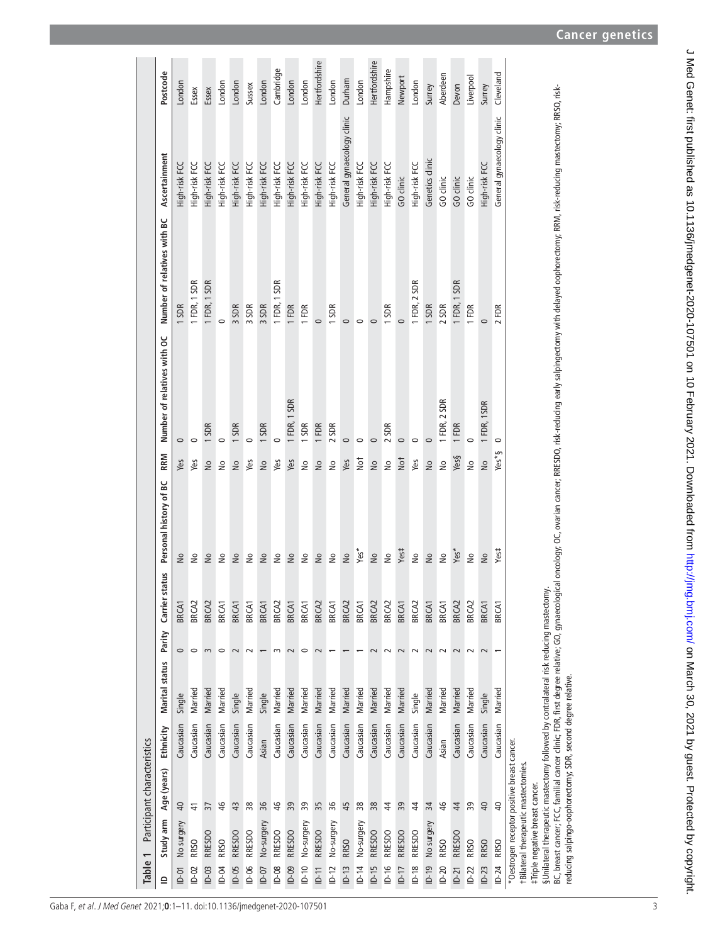| Table 1     |            | Participant characteristics                                                         |           |                       |         |                   |                        |               |                             |                             |                            |               |
|-------------|------------|-------------------------------------------------------------------------------------|-----------|-----------------------|---------|-------------------|------------------------|---------------|-----------------------------|-----------------------------|----------------------------|---------------|
| $\supseteq$ | Study arm  | Age (years)                                                                         | Ethnicity | <b>Marital status</b> | Parity  | Carrier status    | Personal history of BC | <b>RRM</b>    | Number of relatives with OC | Number of relatives with BC | Ascertainment              | Postcode      |
| $D-01$      | No surgery | $\overline{a}$                                                                      | Caucasian | Single                | $\circ$ | BRCA1             | $\frac{1}{2}$          | Yes           | 0                           | 1 SDR                       | High-risk FCC              | London        |
| $ID-02$     | RRSO       | $\frac{1}{2}$                                                                       | Caucasian | Married               | $\circ$ | BRCA <sub>2</sub> | $\tilde{z}$            | Yes           | $\circ$                     | IFDR, 1SDR                  | High-risk FCC              | Essex         |
| $ID-03$     | RRESDO     | 57                                                                                  | Caucasian | Married               | $\sim$  | BRCA <sub>2</sub> | $\geq$                 | $\geq$        | 1 SDR                       | 1 FDR, 1 SDR                | High-risk FCC              | Essex         |
| ID-04       | RRSO       | $\frac{6}{5}$                                                                       | Caucasian | Married               | $\circ$ | BRCA1             | $\tilde{z}$            | $\tilde{z}$   | $\circ$                     | $\circ$                     | High-risk FCC              | London        |
| ID-05       | RRESDO     | 43                                                                                  | Caucasian | Single                | $\sim$  | BRCA1             | $\frac{1}{2}$          | $\frac{1}{2}$ | 1 SDR                       | 3 SDR                       | High-risk FCC              | London        |
| ID-06       | RRESDO     | $\frac{8}{3}$                                                                       | Caucasian | Married               |         | BRCA1             | $\tilde{z}$            | Yes           | $\circ$                     | 3 SDR                       | High-risk FCC              | Sussex        |
| $ID-07$     | No-surgery | 36                                                                                  | Asian     | Single                |         | BRCA1             | $\frac{1}{2}$          | $\geq$        | 1 SDR                       | 3 SDR                       | High-risk FCC              | London        |
| $ID-08$     | RRESDO     | 46                                                                                  | Caucasian | Married               |         | BRCA <sub>2</sub> | $\tilde{z}$            | Yes           | $\circ$                     | 1 FDR, 1 SDR                | High-risk FCC              | Cambridge     |
| ID-09       | RRESDO     | 39                                                                                  | Caucasian | Married               |         | BRCA1             | $\frac{1}{2}$          | Yes           | 1 SDR<br>1 FDR, 1           | 1 FDR                       | High-risk FCC              | London        |
| $ID-10$     | No-surgery | 39                                                                                  | Caucasian | Married               | 0       | BRCA1             | $\tilde{z}$            | $\tilde{z}$   | 1 SDR                       | 1 FDR                       | High-risk FCC              | London        |
| $ID-11$     | RRESDO     | 55                                                                                  | Caucasian | Married               |         | BRCA <sub>2</sub> | $\geq$                 | $\geq$        | 1 FDR                       | $\circ$                     | High-risk FCC              | Hertfordshire |
| $D-12$      | No-surgery | 36                                                                                  | Caucasian | Married               |         | BRCA1             | å                      | å             | 2 SDR                       | 1 SDR                       | High-risk FCC              | London        |
| $ID-13$     | RRSO       | 45                                                                                  | Caucasian | Married               |         | BRCA <sub>2</sub> | $\frac{1}{2}$          | Yes           | $\circ$                     | $\circ$                     | General gynaecology clinic | Durham        |
| ID-14       | No-surgery | 38                                                                                  | Caucasian | Married               |         | BRCA1             | Yes <sup>*</sup>       | Not           | $\circ$                     | $\circ$                     | High-risk FCC              | London        |
| $ID-15$     | RRESDO     | 38                                                                                  | Caucasian | Married               |         | BRCA <sub>2</sub> | $\frac{1}{2}$          | $\frac{1}{2}$ | $\circ$                     | $\circ$                     | High-risk FCC              | Hertfordshire |
| $ID-16$     | RRESDO     | $\overline{4}$                                                                      | Caucasian | Married               |         | BRCA <sub>2</sub> | $\geq$                 | $\geq$        | 2 SDR                       | 1 SDR                       | High-risk FCC              | Hampshire     |
| $ID-17$     | RRESDO     | 39                                                                                  | Caucasian | Married               |         | BRCA1             | Yes#                   | Not           | $\circ$                     | $\circ$                     | GO dinic                   | Newport       |
| $ID-18$     | RRESDO     | $\ddot{4}$                                                                          | Caucasian | Single                |         | BRCA <sub>2</sub> | $\geq$                 | Yes           | $\circ$                     | I FDR, 2 SDR                | High-risk FCC              | London        |
| $ID-19$     | No surgery | 34                                                                                  | Caucasian | Married               |         | BRCA1             | $\geq$                 | $\geq$        | $\circ$                     | 1 SDR                       | Genetics clinic            | Surrey        |
| $ID-20$     | RRSO       | 46                                                                                  | Asian     | Married               |         | BRCA1             | å                      | $\frac{1}{2}$ | 1 FDR, 2 SDR                | 2 SDR                       | GO dinic                   | Aberdeen      |
| $ID-21$     | RRESDO     | 44                                                                                  | Caucasian | Married               |         | BRCA <sub>2</sub> | Yes*                   | Yess          | 1 FDR                       | 1 FDR, 1 SDR                | GO dinic                   | Devon         |
| $ID-22$     | RRSO       | 39                                                                                  | Caucasian | Married               |         | BRCA <sub>2</sub> | å                      | å             | 0                           | 1 FDR                       | GO dinic                   | Liverpool     |
| $ID-23$     | RRSO       | 40                                                                                  | Caucasian | Single                |         | BRCA1             | $\geq$                 | $\frac{1}{2}$ | 1 FDR, 1SDR                 | $\circ$                     | High-risk FCC              | Surrey        |
| $ID-24$     | RRSO       | $\overline{4}$                                                                      | Caucasian | Married               |         | BRCA1             | ¥es#                   | Yes $*_{\S}$  | $\circ$                     | 2 FDR                       | General gynaecology clinic | Cleveland     |
|             |            | *Oestrogen receptor positive breast cancer.<br>+Bilateral therapeutic mastectomies. |           |                       |         |                   |                        |               |                             |                             |                            |               |

3

‡Triple negative breast cancer.

<span id="page-2-0"></span>#Triple negative breast cancer.

§Unilateral therapeutic mastectomy followed by contralateral risk reducing mastectomy.

reducing salpingo-oophorectomy; SDR, second degree relative.

BC, breast cancer; FCC, familial cancer clinic; FDR, first degree relative; GQ, gynaecological oncological oncology, OC, ovarian cancer; RRESDO, risk-reducing early salpingectomy with delayed oophorectomy; RRM, risk-reduci

§Unilateral therapeutic mastectomy followed by contralateral risk reducing mastectomy.<br>BC, breast cancer; FCC, familial cancer clinic; FDR, first degree relative; GO, gynaecological oncology; OC, ovarian cancer; RRESDO, ri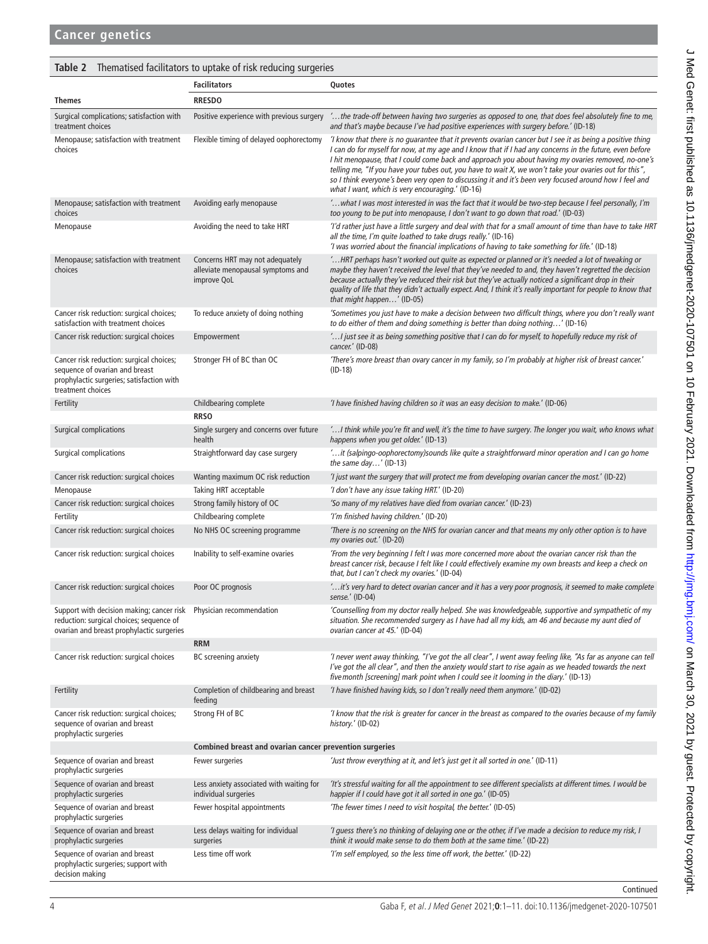# <span id="page-3-0"></span>**Table 2** Thematised facilitators to uptake of risk reducing surgeries

|                                                                                                                                                             | <b>Facilitators</b>                                                                 | Quotes                                                                                                                                                                                                                                                                                                                                                                                                                                                                                                                                                                                             |
|-------------------------------------------------------------------------------------------------------------------------------------------------------------|-------------------------------------------------------------------------------------|----------------------------------------------------------------------------------------------------------------------------------------------------------------------------------------------------------------------------------------------------------------------------------------------------------------------------------------------------------------------------------------------------------------------------------------------------------------------------------------------------------------------------------------------------------------------------------------------------|
| <b>Themes</b>                                                                                                                                               | <b>RRESDO</b>                                                                       |                                                                                                                                                                                                                                                                                                                                                                                                                                                                                                                                                                                                    |
| Surgical complications; satisfaction with<br>treatment choices                                                                                              |                                                                                     | Positive experience with previous surgery 'the trade-off between having two surgeries as opposed to one, that does feel absolutely fine to me,<br>and that's maybe because I've had positive experiences with surgery before.' (ID-18)                                                                                                                                                                                                                                                                                                                                                             |
| Menopause; satisfaction with treatment<br>choices                                                                                                           | Flexible timing of delayed oophorectomy                                             | 'I know that there is no quarantee that it prevents ovarian cancer but I see it as being a positive thing<br>I can do for myself for now, at my age and I know that if I had any concerns in the future, even before<br>I hit menopause, that I could come back and approach you about having my ovaries removed, no-one's<br>telling me, "If you have your tubes out, you have to wait X, we won't take your ovaries out for this",<br>so I think everyone's been very open to discussing it and it's been very focused around how I feel and<br>what I want, which is very encouraging.' (ID-16) |
| Menopause; satisfaction with treatment<br>choices                                                                                                           | Avoiding early menopause                                                            | what I was most interested in was the fact that it would be two-step because I feel personally, I'm. '<br>too young to be put into menopause, I don't want to go down that road.' (ID-03)                                                                                                                                                                                                                                                                                                                                                                                                          |
| Menopause                                                                                                                                                   | Avoiding the need to take HRT                                                       | I'd rather just have a little surgery and deal with that for a small amount of time than have to take HRT'<br>all the time, I'm quite loathed to take drugs really.' (ID-16)<br>'I was worried about the financial implications of having to take something for life.' (ID-18)                                                                                                                                                                                                                                                                                                                     |
| Menopause; satisfaction with treatment<br>choices                                                                                                           | Concerns HRT may not adequately<br>alleviate menopausal symptoms and<br>improve QoL | ' HRT perhaps hasn't worked out quite as expected or planned or it's needed a lot of tweaking or<br>maybe they haven't received the level that they've needed to and, they haven't regretted the decision<br>because actually they've reduced their risk but they've actually noticed a significant drop in their<br>quality of life that they didn't actually expect. And, I think it's really important for people to know that<br>that might happen' (ID-05)                                                                                                                                    |
| Cancer risk reduction: surgical choices;<br>satisfaction with treatment choices                                                                             | To reduce anxiety of doing nothing                                                  | 'Sometimes you just have to make a decision between two difficult things, where you don't really want<br>to do either of them and doing something is better than doing nothing' (ID-16)                                                                                                                                                                                                                                                                                                                                                                                                            |
| Cancer risk reduction: surgical choices                                                                                                                     | Empowerment                                                                         | ' I just see it as being something positive that I can do for myself, to hopefully reduce my risk of<br>cancer.' (ID-08)                                                                                                                                                                                                                                                                                                                                                                                                                                                                           |
| Cancer risk reduction: surgical choices;<br>sequence of ovarian and breast<br>prophylactic surgeries; satisfaction with<br>treatment choices                | Stronger FH of BC than OC                                                           | 'There's more breast than ovary cancer in my family, so I'm probably at higher risk of breast cancer.'<br>$(ID-18)$                                                                                                                                                                                                                                                                                                                                                                                                                                                                                |
| Fertility                                                                                                                                                   | Childbearing complete                                                               | 'I have finished having children so it was an easy decision to make.' (ID-06)                                                                                                                                                                                                                                                                                                                                                                                                                                                                                                                      |
|                                                                                                                                                             | <b>RRSO</b>                                                                         |                                                                                                                                                                                                                                                                                                                                                                                                                                                                                                                                                                                                    |
| <b>Surgical complications</b>                                                                                                                               | Single surgery and concerns over future<br>health                                   | I think while you're fit and well, it's the time to have surgery. The longer you wait, who knows what'<br>happens when you get older.' (ID-13)                                                                                                                                                                                                                                                                                                                                                                                                                                                     |
| Surgical complications                                                                                                                                      | Straightforward day case surgery                                                    | it (salpingo-oophorectomy)sounds like quite a straightforward minor operation and I can go home'<br>the same day' (ID-13)                                                                                                                                                                                                                                                                                                                                                                                                                                                                          |
| Cancer risk reduction: surgical choices                                                                                                                     | Wanting maximum OC risk reduction                                                   | 'I just want the surgery that will protect me from developing ovarian cancer the most.' (ID-22)                                                                                                                                                                                                                                                                                                                                                                                                                                                                                                    |
| Menopause                                                                                                                                                   | Taking HRT acceptable                                                               | 'I don't have any issue taking HRT.' (ID-20)                                                                                                                                                                                                                                                                                                                                                                                                                                                                                                                                                       |
| Cancer risk reduction: surgical choices                                                                                                                     | Strong family history of OC                                                         | 'So many of my relatives have died from ovarian cancer.' (ID-23)                                                                                                                                                                                                                                                                                                                                                                                                                                                                                                                                   |
| Fertility                                                                                                                                                   | Childbearing complete                                                               | 'I'm finished having children.' (ID-20)                                                                                                                                                                                                                                                                                                                                                                                                                                                                                                                                                            |
| Cancer risk reduction: surgical choices                                                                                                                     | No NHS OC screening programme                                                       | There is no screening on the NHS for ovarian cancer and that means my only other option is to have<br>my ovaries out.' (ID-20)                                                                                                                                                                                                                                                                                                                                                                                                                                                                     |
| Cancer risk reduction: surgical choices                                                                                                                     | Inability to self-examine ovaries                                                   | 'From the very beginning I felt I was more concerned more about the ovarian cancer risk than the<br>breast cancer risk, because I felt like I could effectively examine my own breasts and keep a check on<br>that, but I can't check my ovaries.' (ID-04)                                                                                                                                                                                                                                                                                                                                         |
| Cancer risk reduction: surgical choices                                                                                                                     | Poor OC prognosis                                                                   | it's very hard to detect ovarian cancer and it has a very poor prognosis, it seemed to make complete'<br>sense.' (ID-04)                                                                                                                                                                                                                                                                                                                                                                                                                                                                           |
| Support with decision making; cancer risk Physician recommendation<br>reduction: surgical choices; sequence of<br>ovarian and breast prophylactic surgeries |                                                                                     | 'Counselling from my doctor really helped. She was knowledgeable, supportive and sympathetic of my<br>situation. She recommended surgery as I have had all my kids, am 46 and because my aunt died of<br>ovarian cancer at 45.' (ID-04)                                                                                                                                                                                                                                                                                                                                                            |
|                                                                                                                                                             | <b>RRM</b>                                                                          |                                                                                                                                                                                                                                                                                                                                                                                                                                                                                                                                                                                                    |
| Cancer risk reduction: surgical choices                                                                                                                     | BC screening anxiety                                                                | 'I never went away thinking, "I've got the all clear", I went away feeling like, "As far as anyone can tell<br>I've got the all clear", and then the anxiety would start to rise again as we headed towards the next<br>five month [screening] mark point when I could see it looming in the diary.' (ID-13)                                                                                                                                                                                                                                                                                       |
| Fertility                                                                                                                                                   | Completion of childbearing and breast<br>feeding                                    | 'I have finished having kids, so I don't really need them anymore.' (ID-02)                                                                                                                                                                                                                                                                                                                                                                                                                                                                                                                        |
| Cancer risk reduction: surgical choices;<br>sequence of ovarian and breast<br>prophylactic surgeries                                                        | Strong FH of BC                                                                     | 'I know that the risk is greater for cancer in the breast as compared to the ovaries because of my family<br>history.' (ID-02)                                                                                                                                                                                                                                                                                                                                                                                                                                                                     |
|                                                                                                                                                             | Combined breast and ovarian cancer prevention surgeries                             |                                                                                                                                                                                                                                                                                                                                                                                                                                                                                                                                                                                                    |
| Sequence of ovarian and breast<br>prophylactic surgeries                                                                                                    | Fewer surgeries                                                                     | 'Just throw everything at it, and let's just get it all sorted in one.' (ID-11)                                                                                                                                                                                                                                                                                                                                                                                                                                                                                                                    |
| Sequence of ovarian and breast<br>prophylactic surgeries                                                                                                    | Less anxiety associated with waiting for<br>individual surgeries                    | 'It's stressful waiting for all the appointment to see different specialists at different times. I would be<br>happier if I could have got it all sorted in one go.' (ID-05)                                                                                                                                                                                                                                                                                                                                                                                                                       |
| Sequence of ovarian and breast<br>prophylactic surgeries                                                                                                    | Fewer hospital appointments                                                         | 'The fewer times I need to visit hospital, the better.' (ID-05)                                                                                                                                                                                                                                                                                                                                                                                                                                                                                                                                    |
| Sequence of ovarian and breast<br>prophylactic surgeries                                                                                                    | Less delays waiting for individual<br>surgeries                                     | 'I guess there's no thinking of delaying one or the other, if I've made a decision to reduce my risk, I<br>think it would make sense to do them both at the same time.' (ID-22)                                                                                                                                                                                                                                                                                                                                                                                                                    |
| Sequence of ovarian and breast<br>prophylactic surgeries; support with<br>decision making                                                                   | Less time off work                                                                  | 'I'm self employed, so the less time off work, the better.' (ID-22)                                                                                                                                                                                                                                                                                                                                                                                                                                                                                                                                |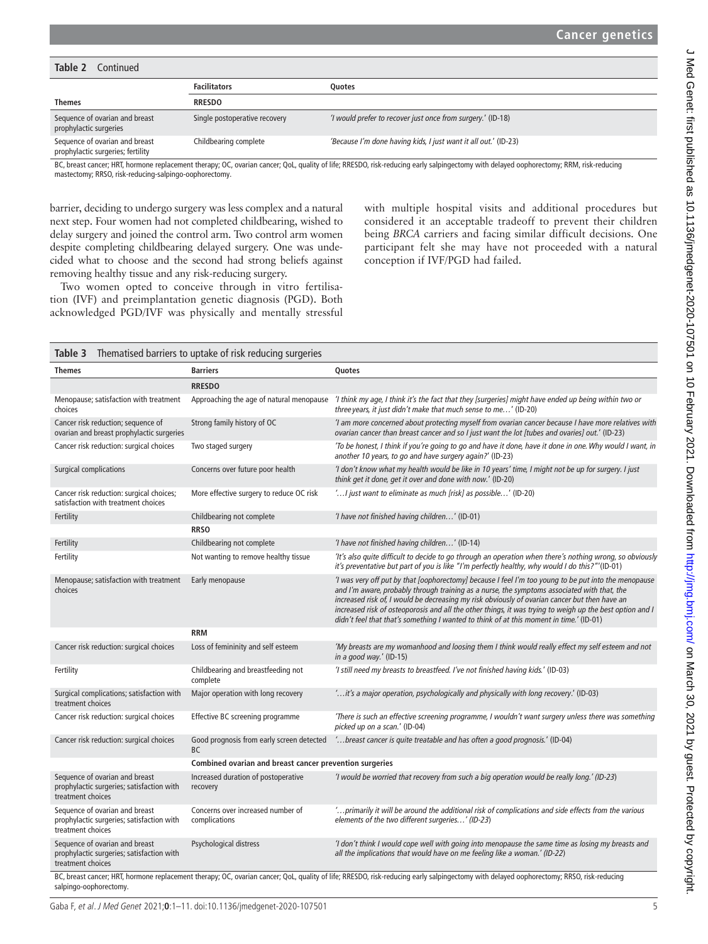# **Table 2** Continued

| TANIC 4<br>CONTINUES                                                |                               |                                                                 |
|---------------------------------------------------------------------|-------------------------------|-----------------------------------------------------------------|
|                                                                     | <b>Facilitators</b>           | Ouotes                                                          |
| <b>Themes</b>                                                       | <b>RRESDO</b>                 |                                                                 |
| Sequence of ovarian and breast<br>prophylactic surgeries            | Single postoperative recovery | 'I would prefer to recover just once from surgery.' (ID-18)     |
| Sequence of ovarian and breast<br>prophylactic surgeries; fertility | Childbearing complete         | 'Because I'm done having kids, I just want it all out.' (ID-23) |

BC, breast cancer; HRT, hormone replacement therapy; OC, ovarian cancer; QoL, quality of life; RRESDO, risk-reducing early salpingectomy with delayed oophorectomy; RRM, risk-reducing mastectomy; RRSO, risk-reducing-salpingo-oophorectomy.

barrier, deciding to undergo surgery was less complex and a natural next step. Four women had not completed childbearing, wished to delay surgery and joined the control arm. Two control arm women despite completing childbearing delayed surgery. One was undecided what to choose and the second had strong beliefs against removing healthy tissue and any risk-reducing surgery.

Two women opted to conceive through in vitro fertilisation (IVF) and preimplantation genetic diagnosis (PGD). Both acknowledged PGD/IVF was physically and mentally stressful with multiple hospital visits and additional procedures but considered it an acceptable tradeoff to prevent their children being *BRCA* carriers and facing similar difficult decisions. One participant felt she may have not proceeded with a natural conception if IVF/PGD had failed.

<span id="page-4-0"></span>

| Table 3                                                                                          | Thematised barriers to uptake of risk reducing surgeries |                                                                                                                                                                                                                                                                                                                                                                                                                                                                                                             |
|--------------------------------------------------------------------------------------------------|----------------------------------------------------------|-------------------------------------------------------------------------------------------------------------------------------------------------------------------------------------------------------------------------------------------------------------------------------------------------------------------------------------------------------------------------------------------------------------------------------------------------------------------------------------------------------------|
| <b>Themes</b>                                                                                    | <b>Barriers</b>                                          | Quotes                                                                                                                                                                                                                                                                                                                                                                                                                                                                                                      |
|                                                                                                  | <b>RRESDO</b>                                            |                                                                                                                                                                                                                                                                                                                                                                                                                                                                                                             |
| Menopause; satisfaction with treatment<br>choices                                                | Approaching the age of natural menopause                 | 'I think my age, I think it's the fact that they [surgeries] might have ended up being within two or<br>three years, it just didn't make that much sense to me' (ID-20)                                                                                                                                                                                                                                                                                                                                     |
| Cancer risk reduction; sequence of<br>ovarian and breast prophylactic surgeries                  | Strong family history of OC                              | 'I am more concerned about protecting myself from ovarian cancer because I have more relatives with<br>ovarian cancer than breast cancer and so I just want the lot [tubes and ovaries] out.' (ID-23)                                                                                                                                                                                                                                                                                                       |
| Cancer risk reduction: surgical choices                                                          | Two staged surgery                                       | To be honest, I think if you're going to go and have it done, have it done in one. Why would I want, in'<br>another 10 years, to go and have surgery again?' (ID-23)                                                                                                                                                                                                                                                                                                                                        |
| <b>Surgical complications</b>                                                                    | Concerns over future poor health                         | 'I don't know what my health would be like in 10 years' time, I might not be up for surgery. I just<br>think get it done, get it over and done with now.' (ID-20)                                                                                                                                                                                                                                                                                                                                           |
| Cancer risk reduction: surgical choices;<br>satisfaction with treatment choices                  | More effective surgery to reduce OC risk                 | ' I just want to eliminate as much [risk] as possible' (ID-20)                                                                                                                                                                                                                                                                                                                                                                                                                                              |
| Fertility                                                                                        | Childbearing not complete                                | 'I have not finished having children' (ID-01)                                                                                                                                                                                                                                                                                                                                                                                                                                                               |
|                                                                                                  | <b>RRSO</b>                                              |                                                                                                                                                                                                                                                                                                                                                                                                                                                                                                             |
| Fertility                                                                                        | Childbearing not complete                                | 'I have not finished having children' (ID-14)                                                                                                                                                                                                                                                                                                                                                                                                                                                               |
| Fertility                                                                                        | Not wanting to remove healthy tissue                     | 'It's also quite difficult to decide to go through an operation when there's nothing wrong, so obviously<br>it's preventative but part of you is like "I'm perfectly healthy, why would I do this?"'(ID-01)                                                                                                                                                                                                                                                                                                 |
| Menopause; satisfaction with treatment<br>choices                                                | Early menopause                                          | 'I was very off put by that [oophorectomy] because I feel I'm too young to be put into the menopause<br>and I'm aware, probably through training as a nurse, the symptoms associated with that, the<br>increased risk of, I would be decreasing my risk obviously of ovarian cancer but then have an<br>increased risk of osteoporosis and all the other things, it was trying to weigh up the best option and I<br>didn't feel that that's something I wanted to think of at this moment in time.' (ID-01) |
|                                                                                                  | <b>RRM</b>                                               |                                                                                                                                                                                                                                                                                                                                                                                                                                                                                                             |
| Cancer risk reduction: surgical choices                                                          | Loss of femininity and self esteem                       | 'My breasts are my womanhood and loosing them I think would really effect my self esteem and not<br>in a good way.' (ID-15)                                                                                                                                                                                                                                                                                                                                                                                 |
| Fertility                                                                                        | Childbearing and breastfeeding not<br>complete           | 'I still need my breasts to breastfeed. I've not finished having kids.' (ID-03)                                                                                                                                                                                                                                                                                                                                                                                                                             |
| Surgical complications; satisfaction with<br>treatment choices                                   | Major operation with long recovery                       | 'it's a major operation, psychologically and physically with long recovery.' (ID-03)                                                                                                                                                                                                                                                                                                                                                                                                                        |
| Cancer risk reduction: surgical choices                                                          | Effective BC screening programme                         | 'There is such an effective screening programme, I wouldn't want surgery unless there was something<br>picked up on a scan.' (ID-04)                                                                                                                                                                                                                                                                                                                                                                        |
| Cancer risk reduction: surgical choices                                                          | Good prognosis from early screen detected<br><b>BC</b>   | 'breast cancer is quite treatable and has often a good prognosis.' (ID-04)                                                                                                                                                                                                                                                                                                                                                                                                                                  |
|                                                                                                  | Combined ovarian and breast cancer prevention surgeries  |                                                                                                                                                                                                                                                                                                                                                                                                                                                                                                             |
| Sequence of ovarian and breast<br>prophylactic surgeries; satisfaction with<br>treatment choices | Increased duration of postoperative<br>recovery          | 'I would be worried that recovery from such a big operation would be really long.' (ID-23)                                                                                                                                                                                                                                                                                                                                                                                                                  |
| Sequence of ovarian and breast<br>prophylactic surgeries; satisfaction with<br>treatment choices | Concerns over increased number of<br>complications       | primarily it will be around the additional risk of complications and side effects from the various'<br>elements of the two different surgeries' (ID-23)                                                                                                                                                                                                                                                                                                                                                     |
| Sequence of ovarian and breast<br>prophylactic surgeries; satisfaction with<br>treatment choices | Psychological distress                                   | I don't think I would cope well with going into menopause the same time as losing my breasts and<br>all the implications that would have on me feeling like a woman.' (ID-22)                                                                                                                                                                                                                                                                                                                               |
| salpingo-oophorectomy.                                                                           |                                                          | BC, breast cancer; HRT, hormone replacement therapy; OC, ovarian cancer; QoL, quality of life; RRESDO, risk-reducing early salpingectomy with delayed oophorectomy; RRSO, risk-reducing                                                                                                                                                                                                                                                                                                                     |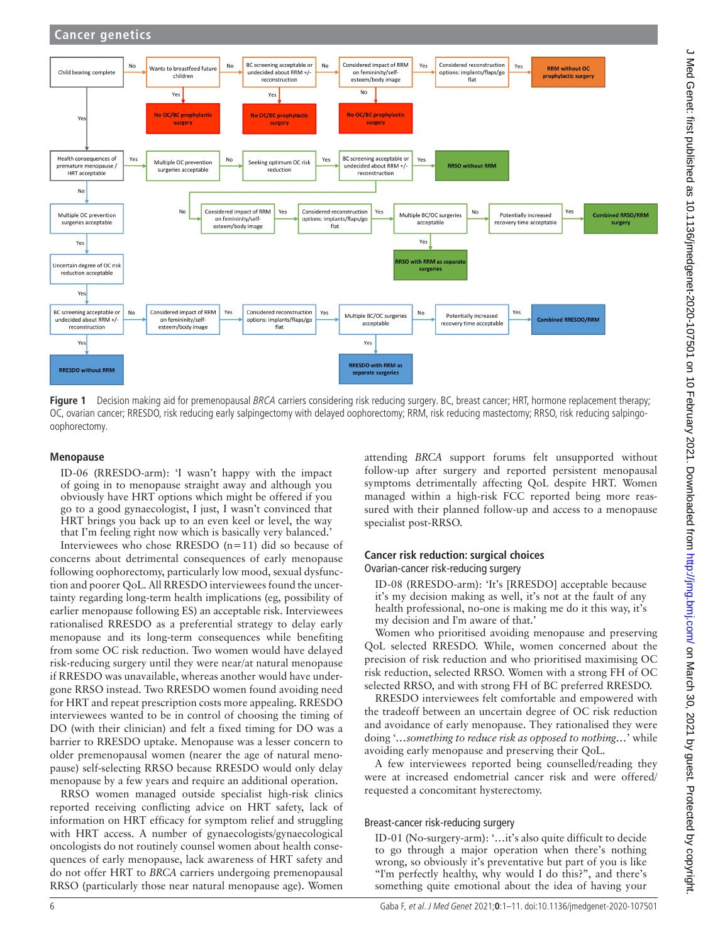

<span id="page-5-0"></span>Figure 1 Decision making aid for premenopausal BRCA carriers considering risk reducing surgery. BC, breast cancer; HRT, hormone replacement therapy; OC, ovarian cancer; RRESDO, risk reducing early salpingectomy with delayed oophorectomy; RRM, risk reducing mastectomy; RRSO, risk reducing salpingooophorectomy.

#### **Menopause**

ID-06 (RRESDO-arm): 'I wasn't happy with the impact of going in to menopause straight away and although you obviously have HRT options which might be offered if you go to a good gynaecologist, I just, I wasn't convinced that HRT brings you back up to an even keel or level, the way that I'm feeling right now which is basically very balanced.'

Interviewees who chose RRESDO (n=11) did so because of concerns about detrimental consequences of early menopause following oophorectomy, particularly low mood, sexual dysfunction and poorer QoL. All RRESDO interviewees found the uncertainty regarding long-term health implications (eg, possibility of earlier menopause following ES) an acceptable risk. Interviewees rationalised RRESDO as a preferential strategy to delay early menopause and its long-term consequences while benefiting from some OC risk reduction. Two women would have delayed risk-reducing surgery until they were near/at natural menopause if RRESDO was unavailable, whereas another would have undergone RRSO instead. Two RRESDO women found avoiding need for HRT and repeat prescription costs more appealing. RRESDO interviewees wanted to be in control of choosing the timing of DO (with their clinician) and felt a fixed timing for DO was a barrier to RRESDO uptake. Menopause was a lesser concern to older premenopausal women (nearer the age of natural menopause) self-selecting RRSO because RRESDO would only delay menopause by a few years and require an additional operation.

RRSO women managed outside specialist high-risk clinics reported receiving conflicting advice on HRT safety, lack of information on HRT efficacy for symptom relief and struggling with HRT access. A number of gynaecologists/gynaecological oncologists do not routinely counsel women about health consequences of early menopause, lack awareness of HRT safety and do not offer HRT to *BRCA* carriers undergoing premenopausal RRSO (particularly those near natural menopause age). Women

attending *BRCA* support forums felt unsupported without follow-up after surgery and reported persistent menopausal symptoms detrimentally affecting QoL despite HRT. Women managed within a high-risk FCC reported being more reassured with their planned follow-up and access to a menopause specialist post-RRSO.

## **Cancer risk reduction: surgical choices** Ovarian-cancer risk-reducing surgery

ID-08 (RRESDO-arm): 'It's [RRESDO] acceptable because it's my decision making as well, it's not at the fault of any health professional, no-one is making me do it this way, it's my decision and I'm aware of that.'

Women who prioritised avoiding menopause and preserving QoL selected RRESDO. While, women concerned about the precision of risk reduction and who prioritised maximising OC risk reduction, selected RRSO. Women with a strong FH of OC selected RRSO, and with strong FH of BC preferred RRESDO.

RRESDO interviewees felt comfortable and empowered with the tradeoff between an uncertain degree of OC risk reduction and avoidance of early menopause. They rationalised they were doing '*…something to reduce risk as opposed to nothing…*' while avoiding early menopause and preserving their QoL.

A few interviewees reported being counselled/reading they were at increased endometrial cancer risk and were offered/ requested a concomitant hysterectomy.

## Breast-cancer risk-reducing surgery

ID-01 (No-surgery-arm): '…it's also quite difficult to decide to go through a major operation when there's nothing wrong, so obviously it's preventative but part of you is like "I'm perfectly healthy, why would I do this?", and there's something quite emotional about the idea of having your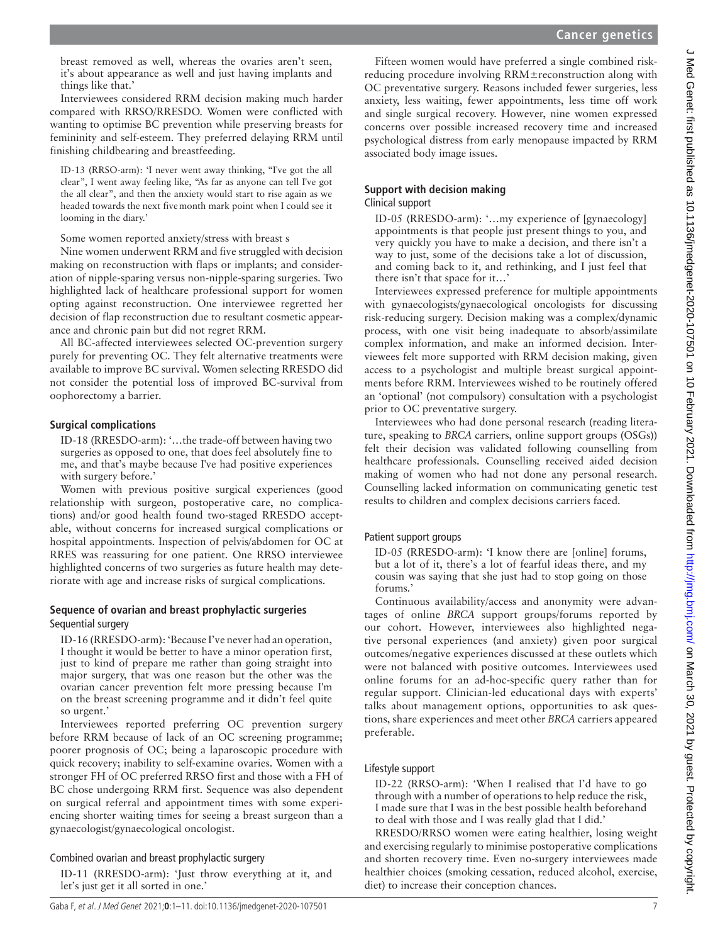breast removed as well, whereas the ovaries aren't seen, it's about appearance as well and just having implants and things like that.'

Interviewees considered RRM decision making much harder compared with RRSO/RRESDO. Women were conflicted with wanting to optimise BC prevention while preserving breasts for femininity and self-esteem. They preferred delaying RRM until finishing childbearing and breastfeeding.

ID-13 (RRSO-arm): 'I never went away thinking, "I've got the all clear", I went away feeling like, "As far as anyone can tell I've got the all clear", and then the anxiety would start to rise again as we headed towards the next fivemonth mark point when I could see it looming in the diary.'

Some women reported anxiety/stress with breast s

Nine women underwent RRM and five struggled with decision making on reconstruction with flaps or implants; and consideration of nipple-sparing versus non-nipple-sparing surgeries. Two highlighted lack of healthcare professional support for women opting against reconstruction. One interviewee regretted her decision of flap reconstruction due to resultant cosmetic appearance and chronic pain but did not regret RRM.

All BC-affected interviewees selected OC-prevention surgery purely for preventing OC. They felt alternative treatments were available to improve BC survival. Women selecting RRESDO did not consider the potential loss of improved BC-survival from oophorectomy a barrier.

## **Surgical complications**

ID-18 (RRESDO-arm): '…the trade-off between having two surgeries as opposed to one, that does feel absolutely fine to me, and that's maybe because I've had positive experiences with surgery before.'

Women with previous positive surgical experiences (good relationship with surgeon, postoperative care, no complications) and/or good health found two-staged RRESDO acceptable, without concerns for increased surgical complications or hospital appointments. Inspection of pelvis/abdomen for OC at RRES was reassuring for one patient. One RRSO interviewee highlighted concerns of two surgeries as future health may deteriorate with age and increase risks of surgical complications.

## **Sequence of ovarian and breast prophylactic surgeries** Sequential surgery

ID-16 (RRESDO-arm): 'Because I've never had an operation, I thought it would be better to have a minor operation first, just to kind of prepare me rather than going straight into major surgery, that was one reason but the other was the ovarian cancer prevention felt more pressing because I'm on the breast screening programme and it didn't feel quite so urgent.'

Interviewees reported preferring OC prevention surgery before RRM because of lack of an OC screening programme; poorer prognosis of OC; being a laparoscopic procedure with quick recovery; inability to self-examine ovaries. Women with a stronger FH of OC preferred RRSO first and those with a FH of BC chose undergoing RRM first. Sequence was also dependent on surgical referral and appointment times with some experiencing shorter waiting times for seeing a breast surgeon than a gynaecologist/gynaecological oncologist.

#### Combined ovarian and breast prophylactic surgery

ID-11 (RRESDO-arm): 'Just throw everything at it, and let's just get it all sorted in one.'

Fifteen women would have preferred a single combined riskreducing procedure involving RRM±reconstruction along with OC preventative surgery. Reasons included fewer surgeries, less anxiety, less waiting, fewer appointments, less time off work and single surgical recovery. However, nine women expressed concerns over possible increased recovery time and increased psychological distress from early menopause impacted by RRM associated body image issues.

#### **Support with decision making** Clinical support

ID-05 (RRESDO-arm): '…my experience of [gynaecology] appointments is that people just present things to you, and very quickly you have to make a decision, and there isn't a way to just, some of the decisions take a lot of discussion, and coming back to it, and rethinking, and I just feel that there isn't that space for it…'

Interviewees expressed preference for multiple appointments with gynaecologists/gynaecological oncologists for discussing risk-reducing surgery. Decision making was a complex/dynamic process, with one visit being inadequate to absorb/assimilate complex information, and make an informed decision. Interviewees felt more supported with RRM decision making, given access to a psychologist and multiple breast surgical appointments before RRM. Interviewees wished to be routinely offered an 'optional' (not compulsory) consultation with a psychologist prior to OC preventative surgery.

Interviewees who had done personal research (reading literature, speaking to *BRCA* carriers, online support groups (OSGs)) felt their decision was validated following counselling from healthcare professionals. Counselling received aided decision making of women who had not done any personal research. Counselling lacked information on communicating genetic test results to children and complex decisions carriers faced.

## Patient support groups

ID-05 (RRESDO-arm): 'I know there are [online] forums, but a lot of it, there's a lot of fearful ideas there, and my cousin was saying that she just had to stop going on those forums.'

Continuous availability/access and anonymity were advantages of online *BRCA* support groups/forums reported by our cohort. However, interviewees also highlighted negative personal experiences (and anxiety) given poor surgical outcomes/negative experiences discussed at these outlets which were not balanced with positive outcomes. Interviewees used online forums for an ad-hoc-specific query rather than for regular support. Clinician-led educational days with experts' talks about management options, opportunities to ask questions, share experiences and meet other *BRCA* carriers appeared preferable.

## Lifestyle support

ID-22 (RRSO-arm): 'When I realised that I'd have to go through with a number of operations to help reduce the risk, I made sure that I was in the best possible health beforehand to deal with those and I was really glad that I did.'

RRESDO/RRSO women were eating healthier, losing weight and exercising regularly to minimise postoperative complications and shorten recovery time. Even no-surgery interviewees made healthier choices (smoking cessation, reduced alcohol, exercise, diet) to increase their conception chances.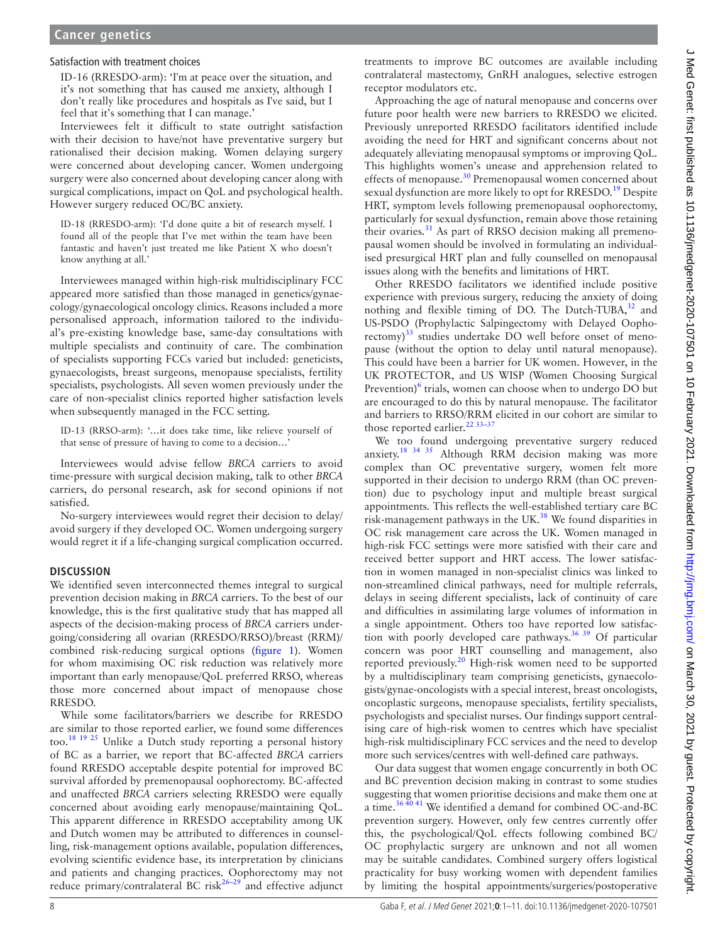#### Satisfaction with treatment choices

ID-16 (RRESDO-arm): 'I'm at peace over the situation, and it's not something that has caused me anxiety, although I don't really like procedures and hospitals as I've said, but I feel that it's something that I can manage.'

Interviewees felt it difficult to state outright satisfaction with their decision to have/not have preventative surgery but rationalised their decision making. Women delaying surgery were concerned about developing cancer. Women undergoing surgery were also concerned about developing cancer along with surgical complications, impact on QoL and psychological health. However surgery reduced OC/BC anxiety.

ID-18 (RRESDO-arm): 'I'd done quite a bit of research myself. I found all of the people that I've met within the team have been fantastic and haven't just treated me like Patient X who doesn't know anything at all.'

Interviewees managed within high-risk multidisciplinary FCC appeared more satisfied than those managed in genetics/gynaecology/gynaecological oncology clinics. Reasons included a more personalised approach, information tailored to the individual's pre-existing knowledge base, same-day consultations with multiple specialists and continuity of care. The combination of specialists supporting FCCs varied but included: geneticists, gynaecologists, breast surgeons, menopause specialists, fertility specialists, psychologists. All seven women previously under the care of non-specialist clinics reported higher satisfaction levels when subsequently managed in the FCC setting.

ID-13 (RRSO-arm): '…it does take time, like relieve yourself of that sense of pressure of having to come to a decision…'

Interviewees would advise fellow *BRCA* carriers to avoid time-pressure with surgical decision making, talk to other *BRCA* carriers, do personal research, ask for second opinions if not satisfied.

No-surgery interviewees would regret their decision to delay/ avoid surgery if they developed OC. Women undergoing surgery would regret it if a life-changing surgical complication occurred.

## **DISCUSSION**

We identified seven interconnected themes integral to surgical prevention decision making in *BRCA* carriers. To the best of our knowledge, this is the first qualitative study that has mapped all aspects of the decision-making process of *BRCA* carriers undergoing/considering all ovarian (RRESDO/RRSO)/breast (RRM)/ combined risk-reducing surgical options ([figure](#page-5-0) 1). Women for whom maximising OC risk reduction was relatively more important than early menopause/QoL preferred RRSO, whereas those more concerned about impact of menopause chose RRESDO.

While some facilitators/barriers we describe for RRESDO are similar to those reported earlier, we found some differences too.[18 19 25](#page-9-10) Unlike a Dutch study reporting a personal history of BC as a barrier, we report that BC-affected *BRCA* carriers found RRESDO acceptable despite potential for improved BC survival afforded by premenopausal oophorectomy. BC-affected and unaffected *BRCA* carriers selecting RRESDO were equally concerned about avoiding early menopause/maintaining QoL. This apparent difference in RRESDO acceptability among UK and Dutch women may be attributed to differences in counselling, risk-management options available, population differences, evolving scientific evidence base, its interpretation by clinicians and patients and changing practices. Oophorectomy may not reduce primary/contralateral BC ris $k^{26-29}$  and effective adjunct

treatments to improve BC outcomes are available including contralateral mastectomy, GnRH analogues, selective estrogen receptor modulators etc.

Approaching the age of natural menopause and concerns over future poor health were new barriers to RRESDO we elicited. Previously unreported RRESDO facilitators identified include avoiding the need for HRT and significant concerns about not adequately alleviating menopausal symptoms or improving QoL. This highlights women's unease and apprehension related to effects of menopause.<sup>[30](#page-10-3)</sup> Premenopausal women concerned about sexual dysfunction are more likely to opt for RRESDO.<sup>[19](#page-9-11)</sup> Despite HRT, symptom levels following premenopausal oophorectomy, particularly for sexual dysfunction, remain above those retaining their ovaries.<sup>[31](#page-10-4)</sup> As part of RRSO decision making all premenopausal women should be involved in formulating an individualised presurgical HRT plan and fully counselled on menopausal issues along with the benefits and limitations of HRT.

Other RRESDO facilitators we identified include positive experience with previous surgery, reducing the anxiety of doing nothing and flexible timing of DO. The Dutch-TUBA, $32$  and US-PSDO (Prophylactic Salpingectomy with Delayed Oophorectomy) $33$  studies undertake DO well before onset of menopause (without the option to delay until natural menopause). This could have been a barrier for UK women. However, in the UK PROTECTOR, and US WISP (Women Choosing Surgical Prevention)<sup>[6](#page-9-12)</sup> trials, women can choose when to undergo DO but are encouraged to do this by natural menopause. The facilitator and barriers to RRSO/RRM elicited in our cohort are similar to those reported earlier.<sup>22 33-37</sup>

We too found undergoing preventative surgery reduced anxiety[.18 34 35](#page-9-10) Although RRM decision making was more complex than OC preventative surgery, women felt more supported in their decision to undergo RRM (than OC prevention) due to psychology input and multiple breast surgical appointments. This reflects the well-established tertiary care BC risk-management pathways in the UK. $^{38}$  We found disparities in OC risk management care across the UK. Women managed in high-risk FCC settings were more satisfied with their care and received better support and HRT access. The lower satisfaction in women managed in non-specialist clinics was linked to non-streamlined clinical pathways, need for multiple referrals, delays in seeing different specialists, lack of continuity of care and difficulties in assimilating large volumes of information in a single appointment. Others too have reported low satisfaction with poorly developed care pathways.<sup>36 39</sup> Of particular concern was poor HRT counselling and management, also reported previously.<sup>20</sup> High-risk women need to be supported by a multidisciplinary team comprising geneticists, gynaecologists/gynae-oncologists with a special interest, breast oncologists, oncoplastic surgeons, menopause specialists, fertility specialists, psychologists and specialist nurses. Our findings support centralising care of high-risk women to centres which have specialist high-risk multidisciplinary FCC services and the need to develop more such services/centres with well-defined care pathways.

Our data suggest that women engage concurrently in both OC and BC prevention decision making in contrast to some studies suggesting that women prioritise decisions and make them one at a time.[36 40 41](#page-10-8) We identified a demand for combined OC-and-BC prevention surgery. However, only few centres currently offer this, the psychological/QoL effects following combined BC/ OC prophylactic surgery are unknown and not all women may be suitable candidates. Combined surgery offers logistical practicality for busy working women with dependent families by limiting the hospital appointments/surgeries/postoperative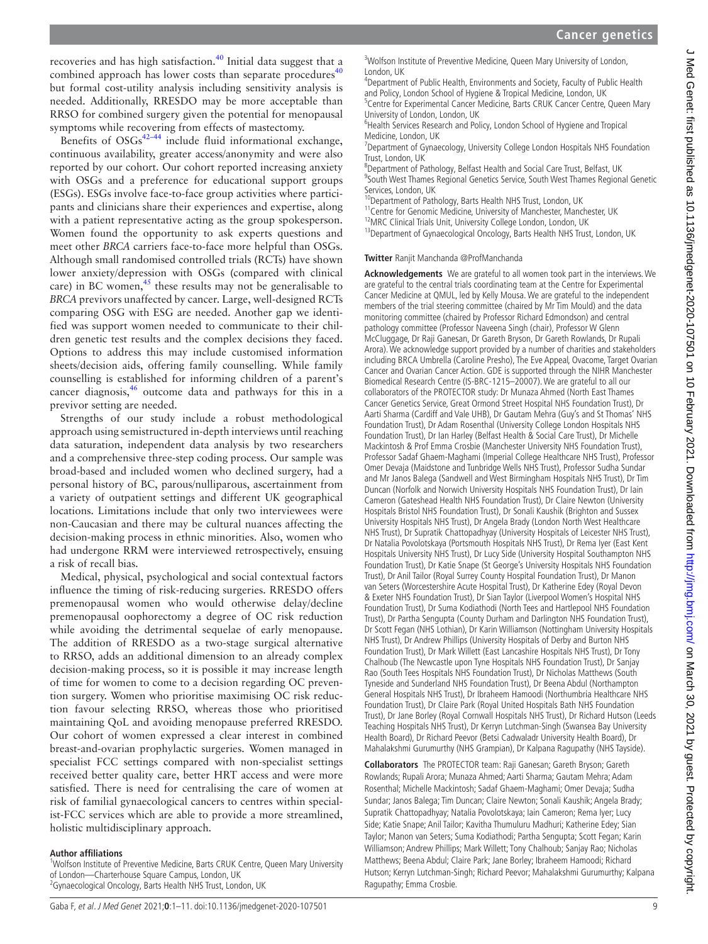<sup>1</sup>Wolfson Institute of Preventive Medicine, Barts CRUK Centre, Queen Mary University of London—Charterhouse Square Campus, London, UK <sup>2</sup> Gynaecological Oncology, Barts Health NHS Trust, London, UK

holistic multidisciplinary approach.

recoveries and has high satisfaction. $40$  Initial data suggest that a combined approach has lower costs than separate procedures $40$ but formal cost-utility analysis including sensitivity analysis is needed. Additionally, RRESDO may be more acceptable than RRSO for combined surgery given the potential for menopausal symptoms while recovering from effects of mastectomy.

Benefits of  $OSGs^{42-44}$  include fluid informational exchange, continuous availability, greater access/anonymity and were also reported by our cohort. Our cohort reported increasing anxiety with OSGs and a preference for educational support groups (ESGs). ESGs involve face-to-face group activities where participants and clinicians share their experiences and expertise, along with a patient representative acting as the group spokesperson. Women found the opportunity to ask experts questions and meet other *BRCA* carriers face-to-face more helpful than OSGs. Although small randomised controlled trials (RCTs) have shown lower anxiety/depression with OSGs (compared with clinical care) in BC women, $^{45}$  $^{45}$  $^{45}$  these results may not be generalisable to *BRCA* previvors unaffected by cancer. Large, well-designed RCTs comparing OSG with ESG are needed. Another gap we identified was support women needed to communicate to their children genetic test results and the complex decisions they faced. Options to address this may include customised information sheets/decision aids, offering family counselling. While family counselling is established for informing children of a parent's cancer diagnosis, $46$  outcome data and pathways for this in a

Strengths of our study include a robust methodological approach using semistructured in-depth interviews until reaching data saturation, independent data analysis by two researchers and a comprehensive three-step coding process. Our sample was broad-based and included women who declined surgery, had a personal history of BC, parous/nulliparous, ascertainment from a variety of outpatient settings and different UK geographical locations. Limitations include that only two interviewees were non-Caucasian and there may be cultural nuances affecting the decision-making process in ethnic minorities. Also, women who had undergone RRM were interviewed retrospectively, ensuing

Medical, physical, psychological and social contextual factors influence the timing of risk-reducing surgeries. RRESDO offers premenopausal women who would otherwise delay/decline premenopausal oophorectomy a degree of OC risk reduction while avoiding the detrimental sequelae of early menopause. The addition of RRESDO as a two-stage surgical alternative to RRSO, adds an additional dimension to an already complex decision-making process, so it is possible it may increase length of time for women to come to a decision regarding OC prevention surgery. Women who prioritise maximising OC risk reduction favour selecting RRSO, whereas those who prioritised maintaining QoL and avoiding menopause preferred RRESDO. Our cohort of women expressed a clear interest in combined breast-and-ovarian prophylactic surgeries. Women managed in specialist FCC settings compared with non-specialist settings received better quality care, better HRT access and were more satisfied. There is need for centralising the care of women at risk of familial gynaecological cancers to centres within specialist-FCC services which are able to provide a more streamlined,

previvor setting are needed.

a risk of recall bias.

Gaba F, et al. J Med Genet 2021;**0**:1–11. doi:10.1136/jmedgenet-2020-107501 9

<sup>3</sup>Wolfson Institute of Preventive Medicine, Queen Mary University of London, London, UK

4 Department of Public Health, Environments and Society, Faculty of Public Health and Policy, London School of Hygiene & Tropical Medicine, London, UK <sup>5</sup>Centre for Experimental Cancer Medicine, Barts CRUK Cancer Centre, Queen Mary University of London, London, UK

**Cancer genetics**

<sup>6</sup> Health Services Research and Policy, London School of Hygiene and Tropical Medicine, London, UK

<sup>7</sup>Department of Gynaecology, University College London Hospitals NHS Foundation Trust, London, UK

<sup>8</sup>Department of Pathology, Belfast Health and Social Care Trust, Belfast, UK <sup>9</sup>South West Thames Regional Genetics Service, South West Thames Regional Genetic

- Services, London, UK
- $0$ Department of Pathology, Barts Health NHS Trust, London, UK
- <sup>11</sup>Centre for Genomic Medicine, University of Manchester, Manchester, UK <sup>12</sup>MRC Clinical Trials Unit, University College London, London, UK
- <sup>13</sup> Department of Gynaecological Oncology, Barts Health NHS Trust, London, UK

## **Twitter** Ranjit Manchanda [@ProfManchanda](https://twitter.com/ProfManchanda)

**Acknowledgements** We are grateful to all women took part in the interviews. We are grateful to the central trials coordinating team at the Centre for Experimental Cancer Medicine at QMUL, led by Kelly Mousa. We are grateful to the independent members of the trial steering committee (chaired by Mr Tim Mould) and the data monitoring committee (chaired by Professor Richard Edmondson) and central pathology committee (Professor Naveena Singh (chair), Professor W Glenn McCluggage, Dr Raji Ganesan, Dr Gareth Bryson, Dr Gareth Rowlands, Dr Rupali Arora). We acknowledge support provided by a number of charities and stakeholders including BRCA Umbrella (Caroline Presho), The Eve Appeal, Ovacome, Target Ovarian Cancer and Ovarian Cancer Action. GDE is supported through the NIHR Manchester Biomedical Research Centre (IS-BRC-1215–20007). We are grateful to all our collaborators of the PROTECTOR study: Dr Munaza Ahmed (North East Thames Cancer Genetics Service, Great Ormond Street Hospital NHS Foundation Trust), Dr Aarti Sharma (Cardiff and Vale UHB), Dr Gautam Mehra (Guy's and St Thomas' NHS Foundation Trust), Dr Adam Rosenthal (University College London Hospitals NHS Foundation Trust), Dr Ian Harley (Belfast Health & Social Care Trust), Dr Michelle Mackintosh & Prof Emma Crosbie (Manchester University NHS Foundation Trust), Professor Sadaf Ghaem-Maghami (Imperial College Healthcare NHS Trust), Professor Omer Devaja (Maidstone and Tunbridge Wells NHS Trust), Professor Sudha Sundar and Mr Janos Balega (Sandwell and West Birmingham Hospitals NHS Trust), Dr Tim Duncan (Norfolk and Norwich University Hospitals NHS Foundation Trust), Dr Iain Cameron (Gateshead Health NHS Foundation Trust), Dr Claire Newton (University Hospitals Bristol NHS Foundation Trust), Dr Sonali Kaushik (Brighton and Sussex University Hospitals NHS Trust), Dr Angela Brady (London North West Healthcare NHS Trust), Dr Supratik Chattopadhyay (University Hospitals of Leicester NHS Trust), Dr Natalia Povolotskaya (Portsmouth Hospitals NHS Trust), Dr Rema Iyer (East Kent Hospitals University NHS Trust), Dr Lucy Side (University Hospital Southampton NHS Foundation Trust), Dr Katie Snape (St George's University Hospitals NHS Foundation Trust), Dr Anil Tailor (Royal Surrey County Hospital Foundation Trust), Dr Manon van Seters (Worcestershire Acute Hospital Trust), Dr Katherine Edey (Royal Devon & Exeter NHS Foundation Trust), Dr Sian Taylor (Liverpool Women's Hospital NHS Foundation Trust), Dr Suma Kodiathodi (North Tees and Hartlepool NHS Foundation Trust), Dr Partha Sengupta (County Durham and Darlington NHS Foundation Trust), Dr Scott Fegan (NHS Lothian), Dr Karin Williamson (Nottingham University Hospitals NHS Trust), Dr Andrew Phillips (University Hospitals of Derby and Burton NHS Foundation Trust), Dr Mark Willett (East Lancashire Hospitals NHS Trust), Dr Tony Chalhoub (The Newcastle upon Tyne Hospitals NHS Foundation Trust), Dr Sanjay Rao (South Tees Hospitals NHS Foundation Trust), Dr Nicholas Matthews (South Tyneside and Sunderland NHS Foundation Trust), Dr Beena Abdul (Northampton General Hospitals NHS Trust), Dr Ibraheem Hamoodi (Northumbria Healthcare NHS Foundation Trust), Dr Claire Park (Royal United Hospitals Bath NHS Foundation Trust), Dr Jane Borley (Royal Cornwall Hospitals NHS Trust), Dr Richard Hutson (Leeds Teaching Hospitals NHS Trust), Dr Kerryn Lutchman-Singh (Swansea Bay University Health Board), Dr Richard Peevor (Betsi Cadwaladr University Health Board), Dr Mahalakshmi Gurumurthy (NHS Grampian), Dr Kalpana Ragupathy (NHS Tayside).

**Collaborators** The PROTECTOR team: Raji Ganesan; Gareth Bryson; Gareth Rowlands; Rupali Arora; Munaza Ahmed; Aarti Sharma; Gautam Mehra; Adam Rosenthal; Michelle Mackintosh; Sadaf Ghaem-Maghami; Omer Devaja; Sudha Sundar; Janos Balega; Tim Duncan; Claire Newton; Sonali Kaushik; Angela Brady; Supratik Chattopadhyay; Natalia Povolotskaya; Iain Cameron; Rema Iyer; Lucy Side; Katie Snape; Anil Tailor; Kavitha Thumuluru Madhuri; Katherine Edey; Sian Taylor; Manon van Seters; Suma Kodiathodi; Partha Sengupta; Scott Fegan; Karin Williamson; Andrew Phillips; Mark Willett; Tony Chalhoub; Sanjay Rao; Nicholas Matthews; Beena Abdul; Claire Park; Jane Borley; Ibraheem Hamoodi; Richard Hutson; Kerryn Lutchman-Singh; Richard Peevor; Mahalakshmi Gurumurthy; Kalpana Ragupathy; Emma Crosbie.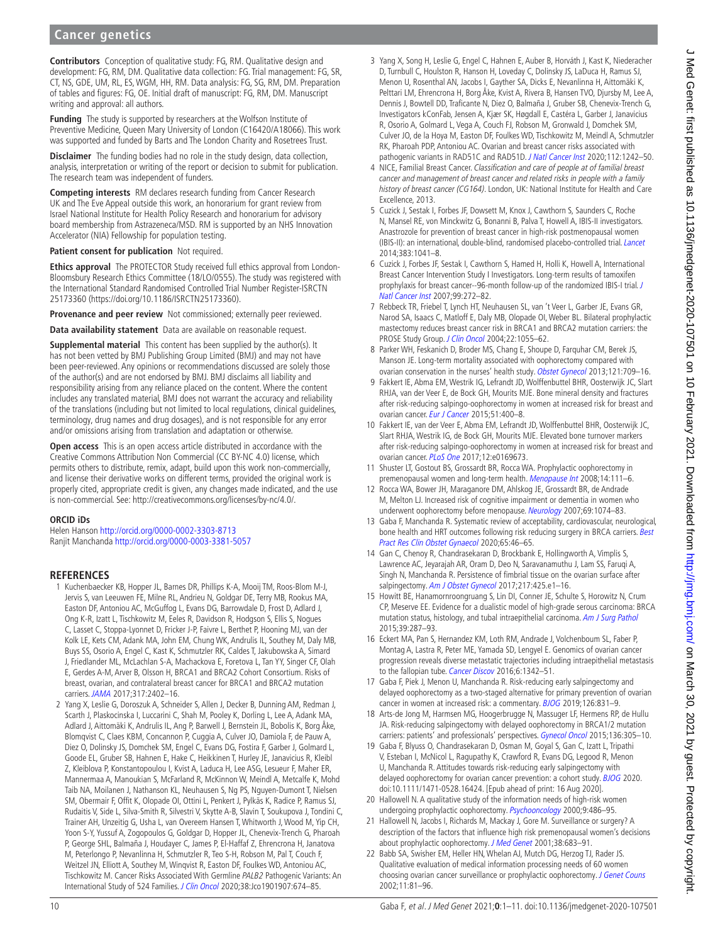# **Cancer genetics**

**Contributors** Conception of qualitative study: FG, RM. Qualitative design and development: FG, RM, DM. Qualitative data collection: FG. Trial management: FG, SR, CT, NS, GDE, UM, RL, ES, WGM, HH, RM. Data analysis: FG, SG, RM, DM. Preparation of tables and figures: FG, OE. Initial draft of manuscript: FG, RM, DM. Manuscript writing and approval: all authors.

**Funding** The study is supported by researchers at the Wolfson Institute of Preventive Medicine, Queen Mary University of London (C16420/A18066). This work was supported and funded by Barts and The London Charity and Rosetrees Trust.

**Disclaimer** The funding bodies had no role in the study design, data collection, analysis, interpretation or writing of the report or decision to submit for publication. The research team was independent of funders.

**Competing interests** RM declares research funding from Cancer Research UK and The Eve Appeal outside this work, an honorarium for grant review from Israel National Institute for Health Policy Research and honorarium for advisory board membership from Astrazeneca/MSD. RM is supported by an NHS Innovation Accelerator (NIA) Fellowship for population testing.

#### **Patient consent for publication** Not required.

**Ethics approval** The PROTECTOR Study received full ethics approval from London-Bloomsbury Research Ethics Committee (18/LO/0555). The study was registered with the International Standard Randomised Controlled Trial Number Register-ISRCTN 25173360 ([https://doi.org/10.1186/ISRCTN25173360\)](https://doi.org/10.1186/ISRCTN25173360).

**Provenance and peer review** Not commissioned; externally peer reviewed.

**Data availability statement** Data are available on reasonable request.

**Supplemental material** This content has been supplied by the author(s). It has not been vetted by BMJ Publishing Group Limited (BMJ) and may not have been peer-reviewed. Any opinions or recommendations discussed are solely those of the author(s) and are not endorsed by BMJ. BMJ disclaims all liability and responsibility arising from any reliance placed on the content. Where the content includes any translated material, BMJ does not warrant the accuracy and reliability of the translations (including but not limited to local regulations, clinical guidelines, terminology, drug names and drug dosages), and is not responsible for any error and/or omissions arising from translation and adaptation or otherwise.

**Open access** This is an open access article distributed in accordance with the Creative Commons Attribution Non Commercial (CC BY-NC 4.0) license, which permits others to distribute, remix, adapt, build upon this work non-commercially, and license their derivative works on different terms, provided the original work is properly cited, appropriate credit is given, any changes made indicated, and the use is non-commercial. See: <http://creativecommons.org/licenses/by-nc/4.0/>.

## **ORCID iDs**

Helen Hanson<http://orcid.org/0000-0002-3303-8713> Ranjit Manchanda <http://orcid.org/0000-0003-3381-5057>

## **REFERENCES**

- <span id="page-9-0"></span>1 Kuchenbaecker KB, Hopper JL, Barnes DR, Phillips K-A, Mooij TM, Roos-Blom M-J, Jervis S, van Leeuwen FE, Milne RL, Andrieu N, Goldgar DE, Terry MB, Rookus MA, Easton DF, Antoniou AC, McGuffog L, Evans DG, Barrowdale D, Frost D, Adlard J, Ong K-R, Izatt L, Tischkowitz M, Eeles R, Davidson R, Hodgson S, Ellis S, Nogues C, Lasset C, Stoppa-Lyonnet D, Fricker J-P, Faivre L, Berthet P, Hooning MJ, van der Kolk LE, Kets CM, Adank MA, John EM, Chung WK, Andrulis IL, Southey M, Daly MB, Buys SS, Osorio A, Engel C, Kast K, Schmutzler RK, Caldes T, Jakubowska A, Simard J, Friedlander ML, McLachlan S-A, Machackova E, Foretova L, Tan YY, Singer CF, Olah E, Gerdes A-M, Arver B, Olsson H, BRCA1 and BRCA2 Cohort Consortium. Risks of breast, ovarian, and contralateral breast cancer for BRCA1 and BRCA2 mutation carriers. [JAMA](http://dx.doi.org/10.1001/jama.2017.7112) 2017;317:2402–16.
- <span id="page-9-1"></span>2 Yang X, Leslie G, Doroszuk A, Schneider S, Allen J, Decker B, Dunning AM, Redman J, Scarth J, Plaskocinska I, Luccarini C, Shah M, Pooley K, Dorling L, Lee A, Adank MA, Adlard J, Aittomäki K, Andrulis IL, Ang P, Barwell J, Bernstein JL, Bobolis K, Borg Åke, Blomqvist C, Claes KBM, Concannon P, Cuggia A, Culver JO, Damiola F, de Pauw A, Diez O, Dolinsky JS, Domchek SM, Engel C, Evans DG, Fostira F, Garber J, Golmard L, Goode EL, Gruber SB, Hahnen E, Hake C, Heikkinen T, Hurley JE, Janavicius R, Kleibl Z, Kleiblova P, Konstantopoulou I, Kvist A, Laduca H, Lee ASG, Lesueur F, Maher ER, Mannermaa A, Manoukian S, McFarland R, McKinnon W, Meindl A, Metcalfe K, Mohd Taib NA, Moilanen J, Nathanson KL, Neuhausen S, Ng PS, Nguyen-Dumont T, Nielsen SM, Obermair F, Offit K, Olopade OI, Ottini L, Penkert J, Pylkäs K, Radice P, Ramus SJ, Rudaitis V, Side L, Silva-Smith R, Silvestri V, Skytte A-B, Slavin T, Soukupova J, Tondini C, Trainer AH, Unzeitig G, Usha L, van Overeem Hansen T, Whitworth J, Wood M, Yip CH, Yoon S-Y, Yussuf A, Zogopoulos G, Goldgar D, Hopper JL, Chenevix-Trench G, Pharoah P, George SHL, Balmaña J, Houdayer C, James P, El-Haffaf Z, Ehrencrona H, Janatova M, Peterlongo P, Nevanlinna H, Schmutzler R, Teo S-H, Robson M, Pal T, Couch F, Weitzel JN, Elliott A, Southey M, Winqvist R, Easton DF, Foulkes WD, Antoniou AC, Tischkowitz M. Cancer Risks Associated With Germline PALB2 Pathogenic Variants: An International Study of 524 Families. [J Clin Oncol](http://dx.doi.org/10.1200/JCO.19.01907) 2020;38:Jco1901907:674–85.
- 3 Yang X, Song H, Leslie G, Engel C, Hahnen E, Auber B, Horváth J, Kast K, Niederacher D, Turnbull C, Houlston R, Hanson H, Loveday C, Dolinsky JS, LaDuca H, Ramus SJ, Menon U, Rosenthal AN, Jacobs I, Gayther SA, Dicks E, Nevanlinna H, Aittomäki K, Pelttari LM, Ehrencrona H, Borg Åke, Kvist A, Rivera B, Hansen TVO, Djursby M, Lee A, Dennis J, Bowtell DD, Traficante N, Diez O, Balmaña J, Gruber SB, Chenevix-Trench G, Investigators kConFab, Jensen A, Kjær SK, Høgdall E, Castéra L, Garber J, Janavicius R, Osorio A, Golmard L, Vega A, Couch FJ, Robson M, Gronwald J, Domchek SM, Culver JO, de la Hoya M, Easton DF, Foulkes WD, Tischkowitz M, Meindl A, Schmutzler RK, Pharoah PDP, Antoniou AC. Ovarian and breast cancer risks associated with pathogenic variants in RAD51C and RAD51D. [J Natl Cancer Inst](http://dx.doi.org/10.1093/jnci/djaa030) 2020;112:1242-50.
- <span id="page-9-2"></span>4 NICE, Familial Breast Cancer. Classification and care of people at of familial breast cancer and management of breast cancer and related risks in people with a family history of breast cancer (CG164). London, UK: National Institute for Health and Care Excellence, 2013.
- <span id="page-9-3"></span>5 Cuzick J, Sestak I, Forbes JF, Dowsett M, Knox J, Cawthorn S, Saunders C, Roche N, Mansel RE, von Minckwitz G, Bonanni B, Palva T, Howell A, IBIS-II investigators. Anastrozole for prevention of breast cancer in high-risk postmenopausal women (IBIS-II): an international, double-blind, randomised placebo-controlled trial. [Lancet](http://dx.doi.org/10.1016/S0140-6736(13)62292-8) 2014;383:1041–8.
- <span id="page-9-12"></span>6 Cuzick J, Forbes JF, Sestak I, Cawthorn S, Hamed H, Holli K, Howell A, International Breast Cancer Intervention Study I Investigators. Long-term results of tamoxifen prophylaxis for breast cancer--96-month follow-up of the randomized IBIS-I trial. J .<br>[Natl Cancer Inst](http://dx.doi.org/10.1093/jnci/djk049) 2007;99:272-82.
- <span id="page-9-4"></span>7 Rebbeck TR, Friebel T, Lynch HT, Neuhausen SL, van 't Veer L, Garber JE, Evans GR, Narod SA, Isaacs C, Matloff E, Daly MB, Olopade OI, Weber BL. Bilateral prophylactic mastectomy reduces breast cancer risk in BRCA1 and BRCA2 mutation carriers: the PROSE Study Group. [J Clin Oncol](http://dx.doi.org/10.1200/JCO.2004.04.188) 2004;22:1055-62.
- <span id="page-9-5"></span>8 Parker WH, Feskanich D, Broder MS, Chang E, Shoupe D, Farquhar CM, Berek JS, Manson JE. Long-term mortality associated with oophorectomy compared with ovarian conservation in the nurses' health study. [Obstet Gynecol](http://dx.doi.org/10.1097/AOG.0b013e3182864350) 2013;121:709-16.
- 9 Fakkert IE, Abma EM, Westrik IG, Lefrandt JD, Wolffenbuttel BHR, Oosterwijk JC, Slart RHJA, van der Veer E, de Bock GH, Mourits MJE. Bone mineral density and fractures after risk-reducing salpingo-oophorectomy in women at increased risk for breast and ovarian cancer. [Eur J Cancer](http://dx.doi.org/10.1016/j.ejca.2014.11.022) 2015;51:400-8.
- 10 Fakkert IE, van der Veer E, Abma EM, Lefrandt JD, Wolffenbuttel BHR, Oosterwijk JC, Slart RHJA, Westrik IG, de Bock GH, Mourits MJE. Elevated bone turnover markers after risk-reducing salpingo-oophorectomy in women at increased risk for breast and ovarian cancer. [PLoS One](http://dx.doi.org/10.1371/journal.pone.0169673) 2017;12:e0169673.
- 11 Shuster LT, Gostout BS, Grossardt BR, Rocca WA. Prophylactic oophorectomy in premenopausal women and long-term health. [Menopause Int](http://dx.doi.org/10.1258/mi.2008.008016) 2008;14:111–6.
- 12 Rocca WA, Bower JH, Maraganore DM, Ahlskog JE, Grossardt BR, de Andrade M, Melton LJ. Increased risk of cognitive impairment or dementia in women who underwent oophorectomy before menopause. [Neurology](http://dx.doi.org/10.1212/01.wnl.0000276984.19542.e6) 2007;69:1074-83.
- 13 Gaba F, Manchanda R. Systematic review of acceptability, cardiovascular, neurological, bone health and HRT outcomes following risk reducing surgery in BRCA carriers. Best [Pract Res Clin Obstet Gynaecol](http://dx.doi.org/10.1016/j.bpobgyn.2020.01.006) 2020;65:46–65.
- <span id="page-9-6"></span>14 Gan C, Chenoy R, Chandrasekaran D, Brockbank E, Hollingworth A, Vimplis S, Lawrence AC, Jeyarajah AR, Oram D, Deo N, Saravanamuthu J, Lam SS, Faruqi A, Singh N, Manchanda R. Persistence of fimbrial tissue on the ovarian surface after salpingectomy. [Am J Obstet Gynecol](http://dx.doi.org/10.1016/j.ajog.2017.06.004) 2017;217:425.e1-16.
- <span id="page-9-7"></span>15 Howitt BE, Hanamornroongruang S, Lin DI, Conner JE, Schulte S, Horowitz N, Crum CP, Meserve EE. Evidence for a dualistic model of high-grade serous carcinoma: BRCA mutation status, histology, and tubal intraepithelial carcinoma. [Am J Surg Pathol](http://dx.doi.org/10.1097/PAS.0000000000000369) 2015;39:287–93.
- <span id="page-9-8"></span>16 Eckert MA, Pan S, Hernandez KM, Loth RM, Andrade J, Volchenboum SL, Faber P, Montag A, Lastra R, Peter ME, Yamada SD, Lengyel E. Genomics of ovarian cancer progression reveals diverse metastatic trajectories including intraepithelial metastasis to the fallopian tube. *[Cancer Discov](http://dx.doi.org/10.1158/2159-8290.CD-16-0607)* 2016;6:1342-51.
- <span id="page-9-9"></span>17 Gaba F, Piek J, Menon U, Manchanda R. Risk-reducing early salpingectomy and delayed oophorectomy as a two-staged alternative for primary prevention of ovarian cancer in women at increased risk: a commentary. [BJOG](http://dx.doi.org/10.1111/1471-0528.15651) 2019;126:831-9.
- <span id="page-9-10"></span>18 Arts-de Jong M, Harmsen MG, Hoogerbrugge N, Massuger LF, Hermens RP, de Hullu JA. Risk-reducing salpingectomy with delayed oophorectomy in BRCA1/2 mutation carriers: patients' and professionals' perspectives. [Gynecol Oncol](http://dx.doi.org/10.1016/j.ygyno.2014.12.031) 2015;136:305-10.
- <span id="page-9-11"></span>19 Gaba F, Blyuss O, Chandrasekaran D, Osman M, Goyal S, Gan C, Izatt L, Tripathi V, Esteban I, McNicol L, Ragupathy K, Crawford R, Evans DG, Legood R, Menon U, Manchanda R. Attitudes towards risk-reducing early salpingectomy with delayed oophorectomy for ovarian cancer prevention: a cohort study. [BJOG](http://dx.doi.org/10.1111/1471-0528.16424) 2020. doi:10.1111/1471-0528.16424. [Epub ahead of print: 16 Aug 2020].
- <span id="page-9-14"></span>20 Hallowell N. A qualitative study of the information needs of high-risk women undergoing prophylactic oophorectomy. [Psychooncology](http://dx.doi.org/10.1002/1099-1611(200011/12)9:6<486::AID-PON478>3.0.CO;2-Y) 2000;9:486-95.
- 21 Hallowell N, Jacobs I, Richards M, Mackay J, Gore M. Surveillance or surgery? A description of the factors that influence high risk premenopausal women's decisions about prophylactic oophorectomy. [J Med Genet](http://dx.doi.org/10.1136/jmg.38.10.683) 2001;38:683–91.
- <span id="page-9-13"></span>22 Babb SA, Swisher EM, Heller HN, Whelan AJ, Mutch DG, Herzog TJ, Rader JS. Qualitative evaluation of medical information processing needs of 60 women choosing ovarian cancer surveillance or prophylactic oophorectomy. [J Genet Couns](http://dx.doi.org/10.1023/A:1014571420844) 2002;11:81–96.